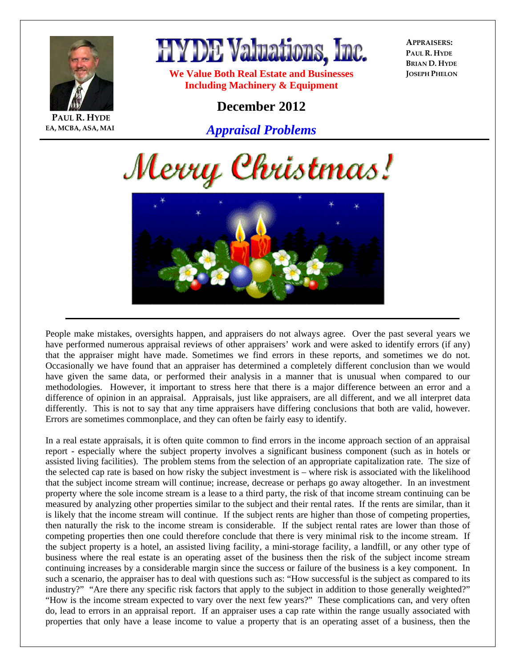

**EA, MCBA, ASA, MAI**

**PAUL R. HYDE**



**We Value Both Real Estate and Businesses Including Machinery & Equipment** 

**APPRAISERS: PAUL R. HYDE BRIAN D. HYDE JOSEPH PHELON**

## **December 2012**

*Appraisal Problems*





People make mistakes, oversights happen, and appraisers do not always agree. Over the past several years we have performed numerous appraisal reviews of other appraisers' work and were asked to identify errors (if any) that the appraiser might have made. Sometimes we find errors in these reports, and sometimes we do not. Occasionally we have found that an appraiser has determined a completely different conclusion than we would have given the same data, or performed their analysis in a manner that is unusual when compared to our methodologies. However, it important to stress here that there is a major difference between an error and a difference of opinion in an appraisal. Appraisals, just like appraisers, are all different, and we all interpret data differently. This is not to say that any time appraisers have differing conclusions that both are valid, however. Errors are sometimes commonplace, and they can often be fairly easy to identify.

In a real estate appraisals, it is often quite common to find errors in the income approach section of an appraisal report - especially where the subject property involves a significant business component (such as in hotels or assisted living facilities). The problem stems from the selection of an appropriate capitalization rate. The size of the selected cap rate is based on how risky the subject investment is – where risk is associated with the likelihood that the subject income stream will continue; increase, decrease or perhaps go away altogether. In an investment property where the sole income stream is a lease to a third party, the risk of that income stream continuing can be measured by analyzing other properties similar to the subject and their rental rates. If the rents are similar, than it is likely that the income stream will continue. If the subject rents are higher than those of competing properties, then naturally the risk to the income stream is considerable. If the subject rental rates are lower than those of competing properties then one could therefore conclude that there is very minimal risk to the income stream. If the subject property is a hotel, an assisted living facility, a mini-storage facility, a landfill, or any other type of business where the real estate is an operating asset of the business then the risk of the subject income stream continuing increases by a considerable margin since the success or failure of the business is a key component. In such a scenario, the appraiser has to deal with questions such as: "How successful is the subject as compared to its industry?" "Are there any specific risk factors that apply to the subject in addition to those generally weighted?" "How is the income stream expected to vary over the next few years?" These complications can, and very often do, lead to errors in an appraisal report. If an appraiser uses a cap rate within the range usually associated with properties that only have a lease income to value a property that is an operating asset of a business, then the